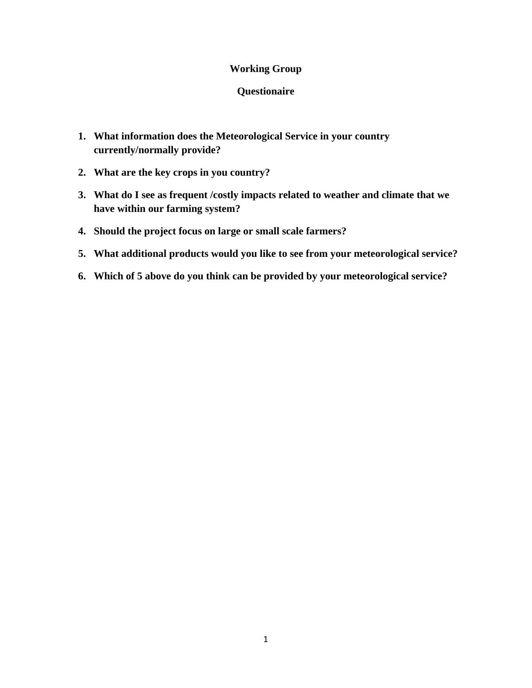## **Working Group**

#### **Questionaire**

- **1. What information does the Meteorological Service in your country currently/normally provide?**
- **2. What are the key crops in you country?**
- **3. What do I see as frequent /costly impacts related to weather and climate that we have within our farming system?**
- **4. Should the project focus on large or small scale farmers?**
- **5. What additional products would you like to see from your meteorological service?**
- **6. Which of 5 above do you think can be provided by your meteorological service?**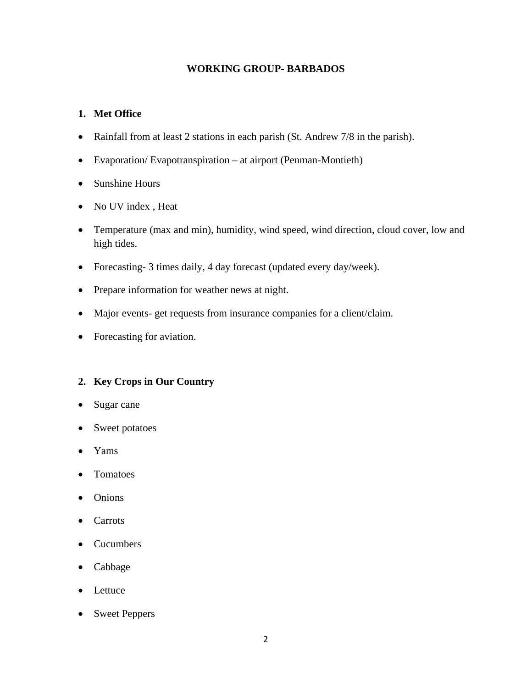## **WORKING GROUP- BARBADOS**

## **1. Met Office**

- Rainfall from at least 2 stations in each parish (St. Andrew 7/8 in the parish).
- Evaporation/ Evapotranspiration at airport (Penman-Montieth)
- Sunshine Hours
- No UV index , Heat
- Temperature (max and min), humidity, wind speed, wind direction, cloud cover, low and high tides.
- Forecasting- 3 times daily, 4 day forecast (updated every day/week).
- Prepare information for weather news at night.
- Major events- get requests from insurance companies for a client/claim.
- Forecasting for aviation.

#### **2. Key Crops in Our Country**

- Sugar cane
- Sweet potatoes
- Yams
- Tomatoes
- Onions
- Carrots
- Cucumbers
- Cabbage
- Lettuce
- Sweet Peppers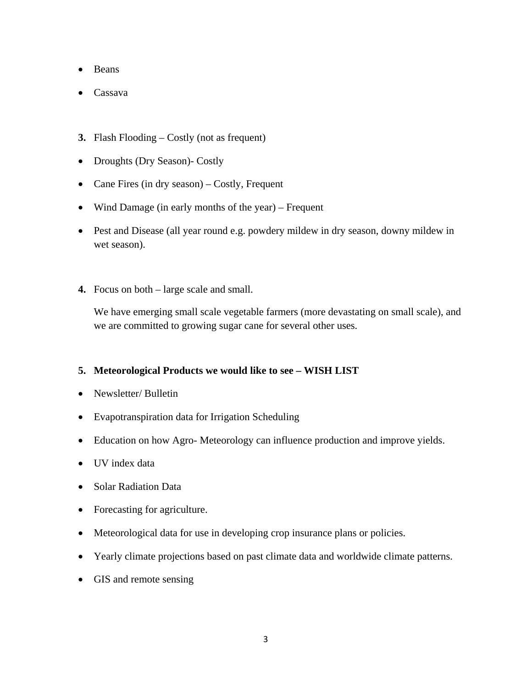- Beans
- Cassava
- **3.** Flash Flooding Costly (not as frequent)
- Droughts (Dry Season)- Costly
- Cane Fires (in dry season) Costly, Frequent
- Wind Damage (in early months of the year) Frequent
- Pest and Disease (all year round e.g. powdery mildew in dry season, downy mildew in wet season).
- **4.** Focus on both large scale and small.

We have emerging small scale vegetable farmers (more devastating on small scale), and we are committed to growing sugar cane for several other uses.

#### **5. Meteorological Products we would like to see – WISH LIST**

- Newsletter/ Bulletin
- Evapotranspiration data for Irrigation Scheduling
- Education on how Agro-Meteorology can influence production and improve yields.
- UV index data
- Solar Radiation Data
- Forecasting for agriculture.
- Meteorological data for use in developing crop insurance plans or policies.
- Yearly climate projections based on past climate data and worldwide climate patterns.
- GIS and remote sensing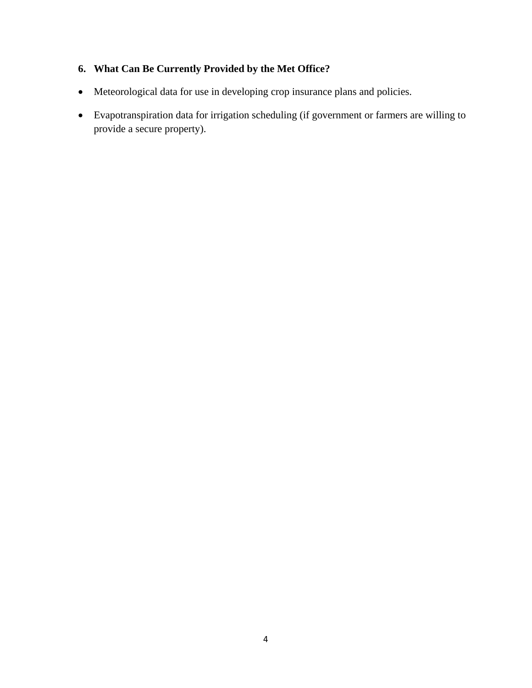# **6. What Can Be Currently Provided by the Met Office?**

- Meteorological data for use in developing crop insurance plans and policies.
- Evapotranspiration data for irrigation scheduling (if government or farmers are willing to provide a secure property).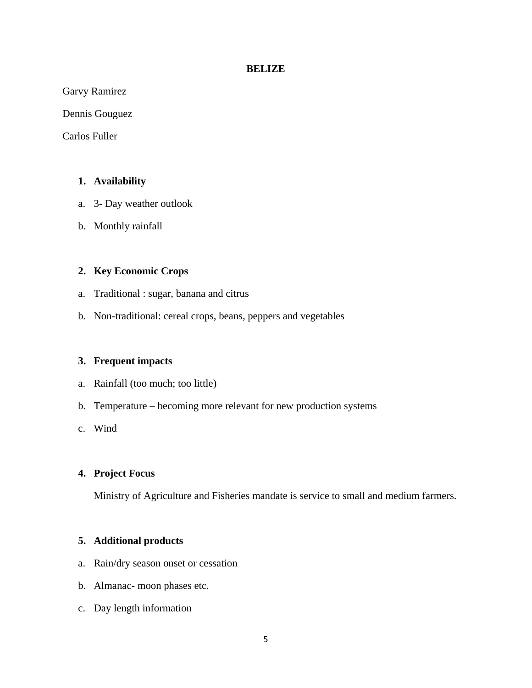#### **BELIZE**

Garvy Ramirez

Dennis Gouguez

Carlos Fuller

#### **1. Availability**

- a. 3- Day weather outlook
- b. Monthly rainfall

#### **2. Key Economic Crops**

- a. Traditional : sugar, banana and citrus
- b. Non-traditional: cereal crops, beans, peppers and vegetables

#### **3. Frequent impacts**

- a. Rainfall (too much; too little)
- b. Temperature becoming more relevant for new production systems
- c. Wind

#### **4. Project Focus**

Ministry of Agriculture and Fisheries mandate is service to small and medium farmers.

#### **5. Additional products**

- a. Rain/dry season onset or cessation
- b. Almanac- moon phases etc.
- c. Day length information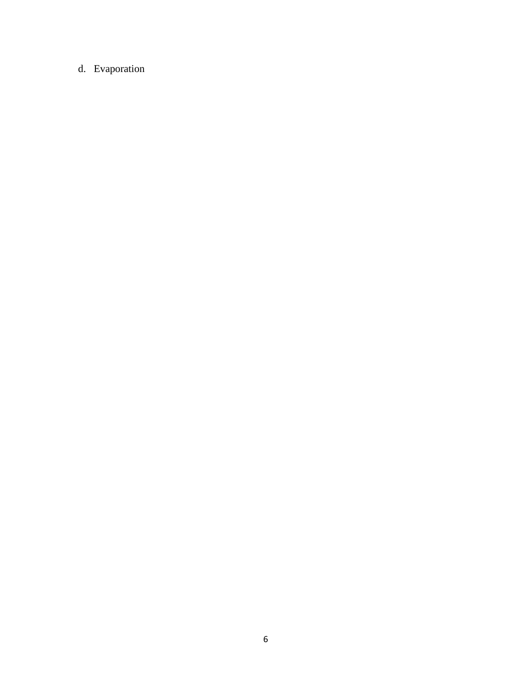# d. Evaporation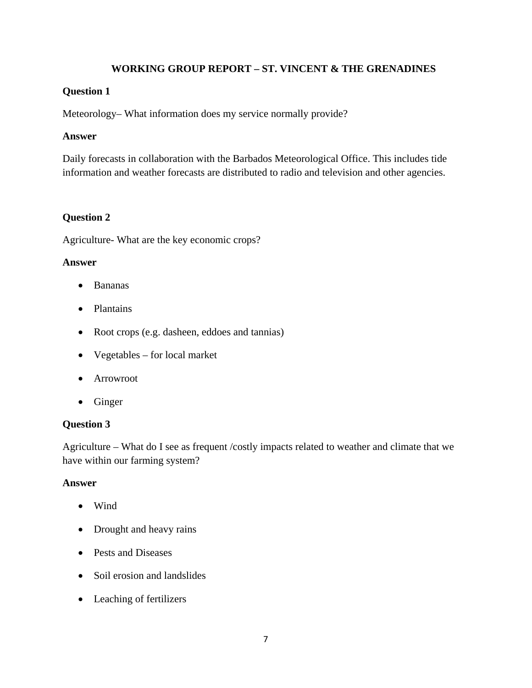## **WORKING GROUP REPORT – ST. VINCENT & THE GRENADINES**

### **Question 1**

Meteorology– What information does my service normally provide?

#### **Answer**

Daily forecasts in collaboration with the Barbados Meteorological Office. This includes tide information and weather forecasts are distributed to radio and television and other agencies.

## **Question 2**

Agriculture- What are the key economic crops?

#### **Answer**

- Bananas
- Plantains
- Root crops (e.g. dasheen, eddoes and tannias)
- Vegetables for local market
- Arrowroot
- Ginger

## **Question 3**

Agriculture – What do I see as frequent /costly impacts related to weather and climate that we have within our farming system?

#### **Answer**

- Wind
- Drought and heavy rains
- Pests and Diseases
- Soil erosion and landslides
- Leaching of fertilizers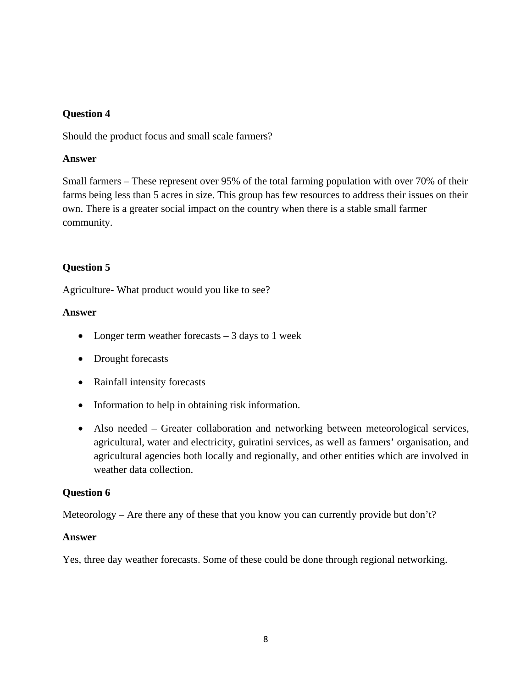## **Question 4**

Should the product focus and small scale farmers?

## **Answer**

Small farmers – These represent over 95% of the total farming population with over 70% of their farms being less than 5 acres in size. This group has few resources to address their issues on their own. There is a greater social impact on the country when there is a stable small farmer community.

# **Question 5**

Agriculture- What product would you like to see?

## **Answer**

- Longer term weather forecasts  $-3$  days to 1 week
- Drought forecasts
- Rainfall intensity forecasts
- Information to help in obtaining risk information.
- Also needed Greater collaboration and networking between meteorological services, agricultural, water and electricity, guiratini services, as well as farmers' organisation, and agricultural agencies both locally and regionally, and other entities which are involved in weather data collection.

## **Question 6**

Meteorology – Are there any of these that you know you can currently provide but don't?

## **Answer**

Yes, three day weather forecasts. Some of these could be done through regional networking.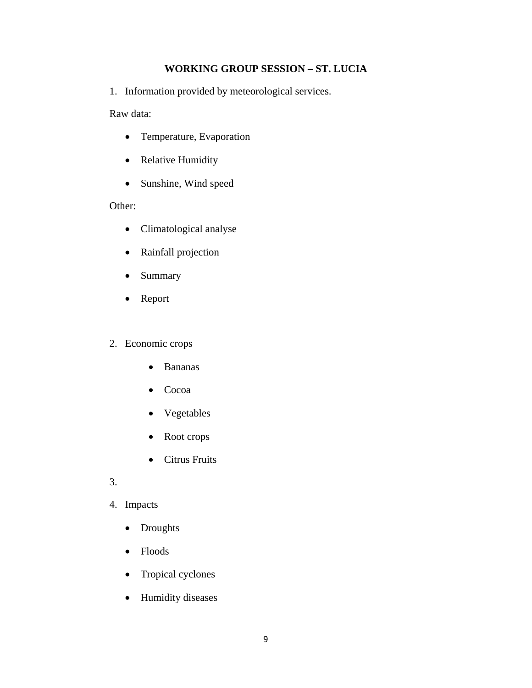## **WORKING GROUP SESSION – ST. LUCIA**

1. Information provided by meteorological services.

Raw data:

- Temperature, Evaporation
- Relative Humidity
- Sunshine, Wind speed

## Other:

- Climatological analyse
- Rainfall projection
- Summary
- Report

## 2. Economic crops

- Bananas
- Cocoa
- Vegetables
- Root crops
- Citrus Fruits
- 3.
- 4. Impacts
	- Droughts
	- Floods
	- Tropical cyclones
	- Humidity diseases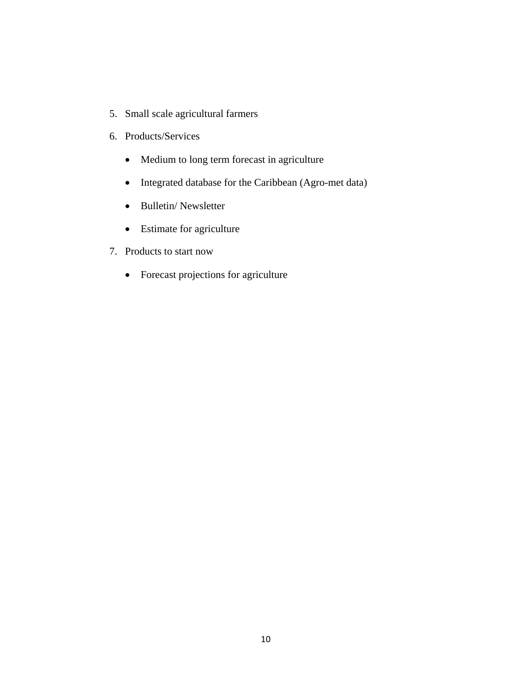- 5. Small scale agricultural farmers
- 6. Products/Services
	- Medium to long term forecast in agriculture
	- Integrated database for the Caribbean (Agro-met data)
	- Bulletin/ Newsletter
	- Estimate for agriculture
- 7. Products to start now
	- Forecast projections for agriculture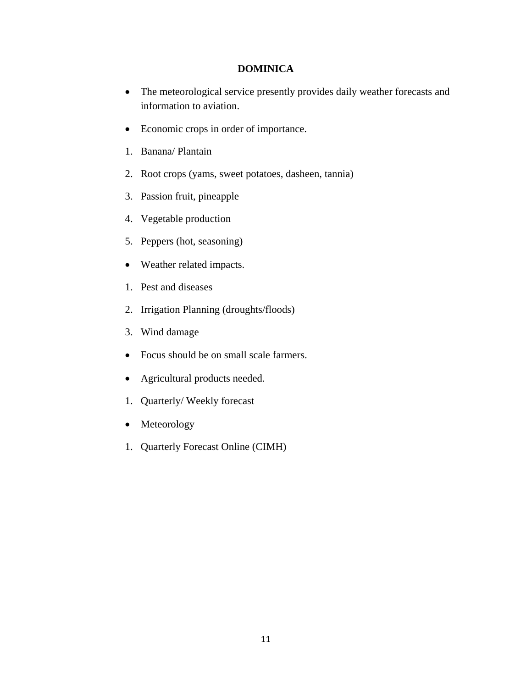#### **DOMINICA**

- The meteorological service presently provides daily weather forecasts and information to aviation.
- Economic crops in order of importance.
- 1. Banana/ Plantain
- 2. Root crops (yams, sweet potatoes, dasheen, tannia)
- 3. Passion fruit, pineapple
- 4. Vegetable production
- 5. Peppers (hot, seasoning)
- Weather related impacts.
- 1. Pest and diseases
- 2. Irrigation Planning (droughts/floods)
- 3. Wind damage
- Focus should be on small scale farmers.
- Agricultural products needed.
- 1. Quarterly/ Weekly forecast
- Meteorology
- 1. Quarterly Forecast Online (CIMH)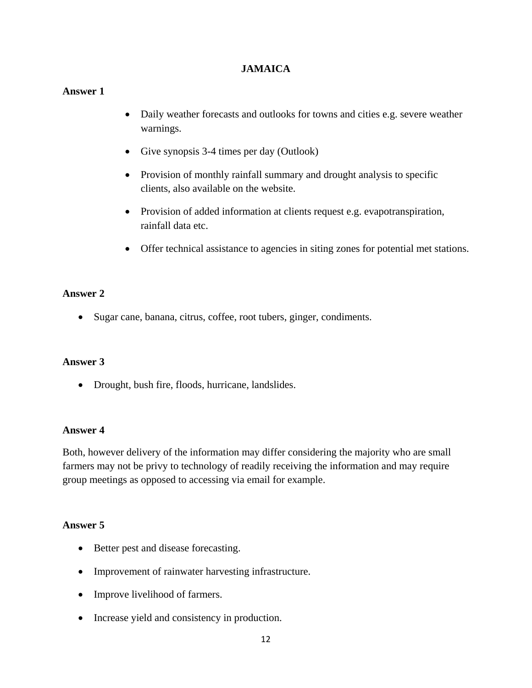## **JAMAICA**

#### **Answer 1**

- Daily weather forecasts and outlooks for towns and cities e.g. severe weather warnings.
- Give synopsis 3-4 times per day (Outlook)
- Provision of monthly rainfall summary and drought analysis to specific clients, also available on the website.
- Provision of added information at clients request e.g. evapotranspiration, rainfall data etc.
- Offer technical assistance to agencies in siting zones for potential met stations.

#### **Answer 2**

• Sugar cane, banana, citrus, coffee, root tubers, ginger, condiments.

#### **Answer 3**

• Drought, bush fire, floods, hurricane, landslides.

#### **Answer 4**

Both, however delivery of the information may differ considering the majority who are small farmers may not be privy to technology of readily receiving the information and may require group meetings as opposed to accessing via email for example.

#### **Answer 5**

- Better pest and disease forecasting.
- Improvement of rainwater harvesting infrastructure.
- Improve livelihood of farmers.
- Increase yield and consistency in production.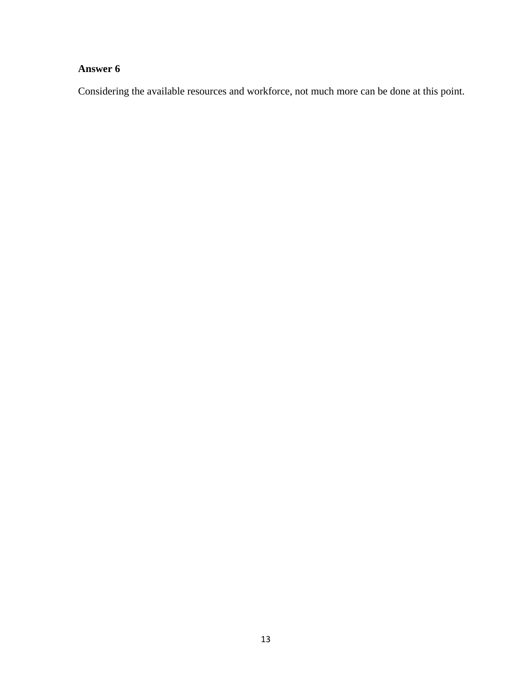# **Answer 6**

Considering the available resources and workforce, not much more can be done at this point.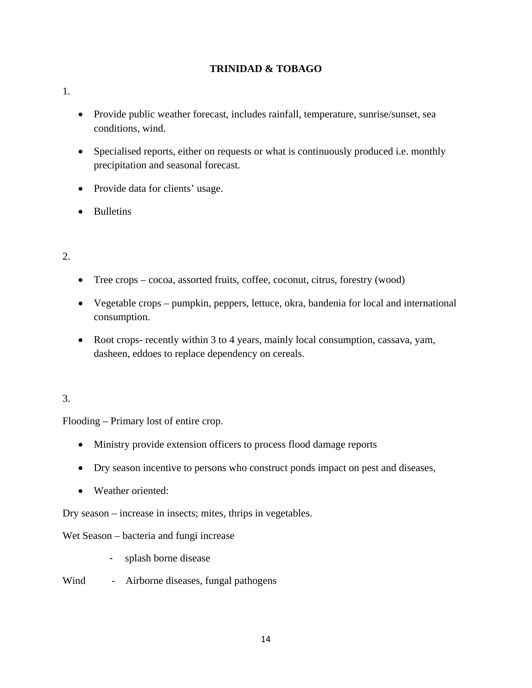# **TRINIDAD & TOBAGO**

#### 1.

- Provide public weather forecast, includes rainfall, temperature, sunrise/sunset, sea conditions, wind.
- Specialised reports, either on requests or what is continuously produced i.e. monthly precipitation and seasonal forecast.
- Provide data for clients' usage.
- Bulletins

# 2.

- Tree crops cocoa, assorted fruits, coffee, coconut, citrus, forestry (wood)
- Vegetable crops pumpkin, peppers, lettuce, okra, bandenia for local and international consumption.
- Root crops- recently within 3 to 4 years, mainly local consumption, cassava, yam, dasheen, eddoes to replace dependency on cereals.

## 3.

Flooding – Primary lost of entire crop.

- Ministry provide extension officers to process flood damage reports
- Dry season incentive to persons who construct ponds impact on pest and diseases,
- Weather oriented:

Dry season – increase in insects; mites, thrips in vegetables.

Wet Season – bacteria and fungi increase

- splash borne disease
- Wind Airborne diseases, fungal pathogens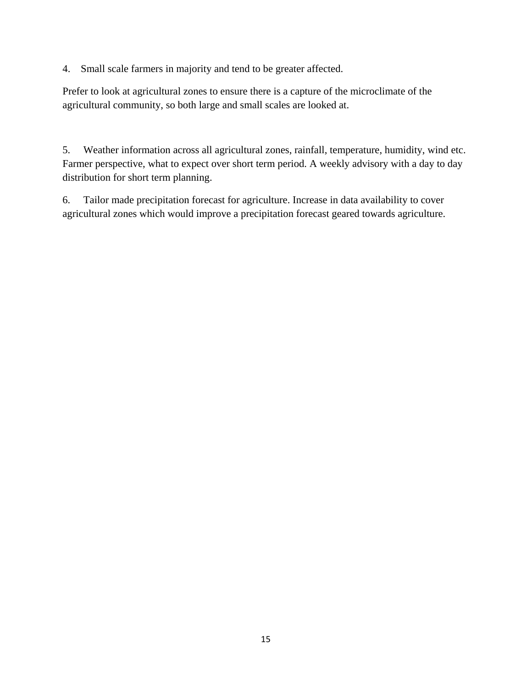4. Small scale farmers in majority and tend to be greater affected.

Prefer to look at agricultural zones to ensure there is a capture of the microclimate of the agricultural community, so both large and small scales are looked at.

5. Weather information across all agricultural zones, rainfall, temperature, humidity, wind etc. Farmer perspective, what to expect over short term period. A weekly advisory with a day to day distribution for short term planning.

6. Tailor made precipitation forecast for agriculture. Increase in data availability to cover agricultural zones which would improve a precipitation forecast geared towards agriculture.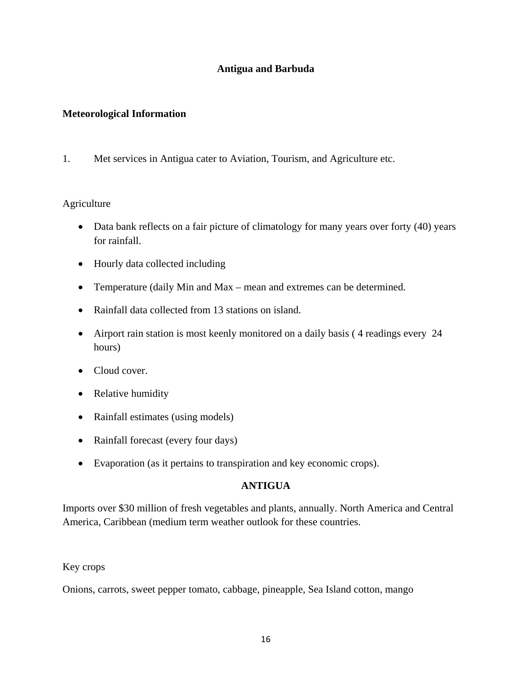## **Antigua and Barbuda**

## **Meteorological Information**

1. Met services in Antigua cater to Aviation, Tourism, and Agriculture etc.

## Agriculture

- Data bank reflects on a fair picture of climatology for many years over forty (40) years for rainfall.
- Hourly data collected including
- Temperature (daily Min and Max mean and extremes can be determined.
- Rainfall data collected from 13 stations on island.
- Airport rain station is most keenly monitored on a daily basis (4 readings every 24 hours)
- Cloud cover.
- Relative humidity
- Rainfall estimates (using models)
- Rainfall forecast (every four days)
- Evaporation (as it pertains to transpiration and key economic crops).

## **ANTIGUA**

Imports over \$30 million of fresh vegetables and plants, annually. North America and Central America, Caribbean (medium term weather outlook for these countries.

#### Key crops

Onions, carrots, sweet pepper tomato, cabbage, pineapple, Sea Island cotton, mango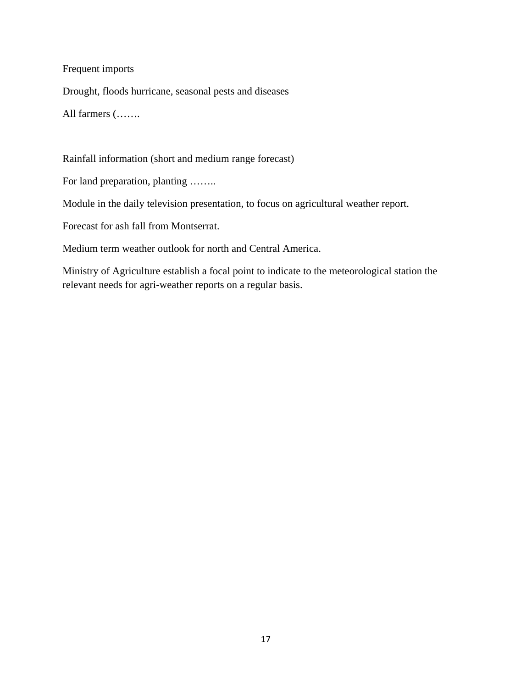## Frequent imports

Drought, floods hurricane, seasonal pests and diseases

All farmers (…….

Rainfall information (short and medium range forecast)

For land preparation, planting ……..

Module in the daily television presentation, to focus on agricultural weather report.

Forecast for ash fall from Montserrat.

Medium term weather outlook for north and Central America.

Ministry of Agriculture establish a focal point to indicate to the meteorological station the relevant needs for agri-weather reports on a regular basis.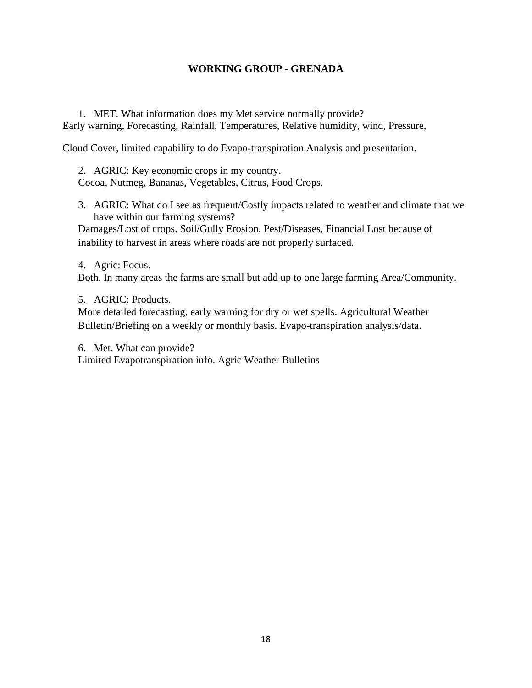#### **WORKING GROUP - GRENADA**

1. MET. What information does my Met service normally provide? Early warning, Forecasting, Rainfall, Temperatures, Relative humidity, wind, Pressure,

Cloud Cover, limited capability to do Evapo-transpiration Analysis and presentation.

2. AGRIC: Key economic crops in my country. Cocoa, Nutmeg, Bananas, Vegetables, Citrus, Food Crops.

3. AGRIC: What do I see as frequent/Costly impacts related to weather and climate that we have within our farming systems?

Damages/Lost of crops. Soil/Gully Erosion, Pest/Diseases, Financial Lost because of inability to harvest in areas where roads are not properly surfaced.

4. Agric: Focus.

Both. In many areas the farms are small but add up to one large farming Area/Community.

5. AGRIC: Products.

More detailed forecasting, early warning for dry or wet spells. Agricultural Weather Bulletin/Briefing on a weekly or monthly basis. Evapo-transpiration analysis/data.

6. Met. What can provide?

Limited Evapotranspiration info. Agric Weather Bulletins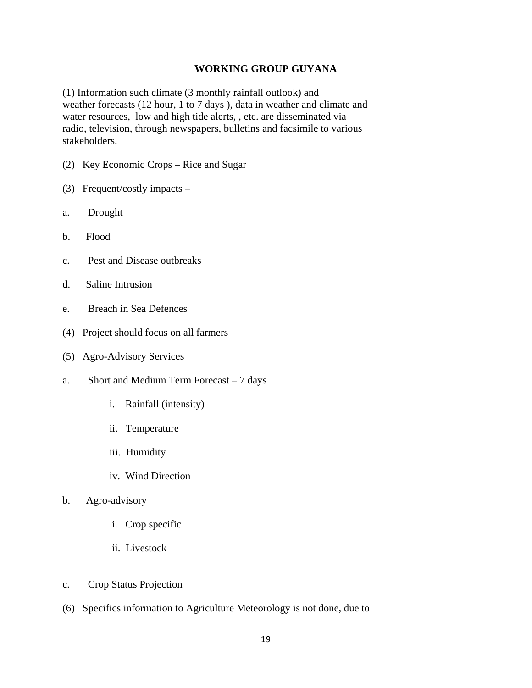#### **WORKING GROUP GUYANA**

(1) Information such climate (3 monthly rainfall outlook) and weather forecasts (12 hour, 1 to 7 days ), data in weather and climate and water resources, low and high tide alerts, , etc. are disseminated via radio, television, through newspapers, bulletins and facsimile to various stakeholders.

- (2) Key Economic Crops Rice and Sugar
- (3) Frequent/costly impacts –
- a. Drought
- b. Flood
- c. Pest and Disease outbreaks
- d. Saline Intrusion
- e. Breach in Sea Defences
- (4) Project should focus on all farmers
- (5) Agro-Advisory Services
- a. Short and Medium Term Forecast 7 days
	- i. Rainfall (intensity)
	- ii. Temperature
	- iii. Humidity
	- iv. Wind Direction
- b. Agro-advisory
	- i. Crop specific
	- ii. Livestock
- c. Crop Status Projection
- (6) Specifics information to Agriculture Meteorology is not done, due to